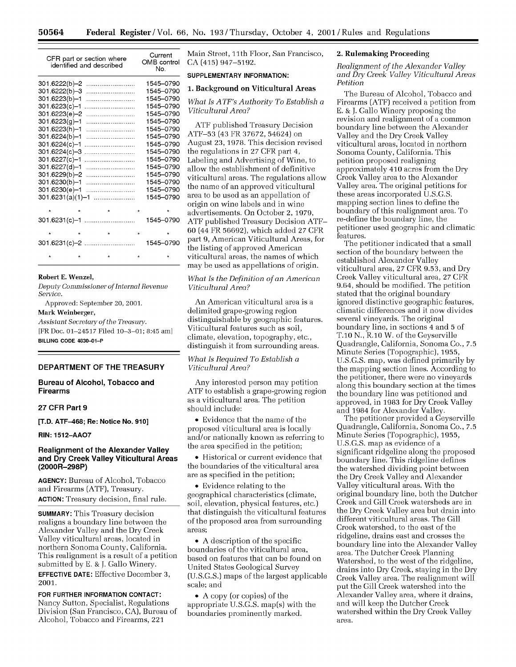|                          | CFR part or section where<br>identified and described | Current<br>OMB control<br>No. |
|--------------------------|-------------------------------------------------------|-------------------------------|
| 301.6222(b)–2            |                                                       | 1545-0790                     |
| 301.6222(b)–3            |                                                       | 1545-0790                     |
| 301.6223(b)–1            |                                                       | 1545-0790                     |
| 301.6223(c)–1            |                                                       | 1545-0790                     |
| 301.6223(e)–2            |                                                       | 1545-0790                     |
| 301.6223(g)-1            |                                                       | 1545-0790                     |
| 301.6223(h)–1            |                                                       | 1545-0790                     |
| 301.6224(b)–1            |                                                       | 1545-0790                     |
| 301.6224(c)-1            |                                                       | 1545-0790                     |
| 301.6224(c)-3            |                                                       | 1545-0790                     |
| 301.6227(c)-1            |                                                       | 1545-0790                     |
| 301.6227(d)—1            |                                                       | 1545-0790                     |
| 301.6229(b)-2            |                                                       | 1545-0790                     |
| 301.6230(b)–1            |                                                       | 1545-0790                     |
| 301.6230(e)-1            |                                                       | 1545-0790                     |
| 301.6231(a)(1)-1         |                                                       | 1545-0790                     |
| $\star$                  | the control of the state of                           | $\star$                       |
|                          |                                                       |                               |
|                          | 301.6231(c)-1                                         | 1545-0790                     |
| $\pmb{\star}$<br>$\star$ | <b>Reserves</b>                                       | $\star$                       |
|                          | 301.6231(c)-2                                         | 1545-0790                     |
| $\star$<br>$\star$       | $\star$                                               | $\star$                       |

#### **Robert E. Wenzel,**

*Deputy Commissioner of Internal Revenue Service.*

Approved: September 20, 2001.

### Mark Weinberger,

*Assistant Secretary of the Treasury.* [FR Doc. 01-24517 Filed 10-3-01; 8:45 am] **BILLING CODE 4830-01-P**

### **DEPARTMENT OF THE TREASURY**

**Bureau of Alcohol, Tobacco and Firearms**

### **27 CFR Part 9**

**[T.D. ATF-468; Re: Notice No. 910]**

### **RIN: 1512-AAO7**

## **Realignment of the Alexander Valley and Dry Creek Valley Viticultural Areas (2000R-298P)**

**AGENCY:** Bureau of Alcohol, Tobacco and Firearms (ATF), Treasury. **ACTION:** Treasury decision, final rule.

**SUMMARY:** This Treasury decision realigns a boundary line between the Alexander Valley and the Dry Creek Valley viticultural areas, located in northern Sonoma County, California. This realignment is a result of a petition submitted by E. **& J.** Gallo Winery. **EFFECTIVE DATE:** Effective December **3,** 2001.

# **FOR FURTHER INFORMATION CONTACT:** Nancy Sutton, Specialist, Regulations

Division (San Francisco, CA), Bureau of Alcohol, Tobacco and Firearms, 221

Main Street, 11th Floor, San Francisco, CA (415) 947-5192.

### **SUPPLEMENTARY INFORMATION:**

### **1. Background on Viticultural Areas**

*What Is ATF's Authority To Establish a Viticultural Area?*

ATF published Treasury Decision ATF-53 (43 FR 37672, 54624) on August 23, 1978. This decision revised the regulations in 27 CFR part 4, Labeling and Advertising of Wine, to allow the establishment of definitive viticultural areas. The regulations allow the name of an approved viticultural area to be used as an appellation of origin on wine labels and in wine advertisements. On October 2, 1979, ATF published Treasury Decision ATF-**60** (44 FR 56692), which added 27 CFR part **9,** American Viticultural Areas, for the listing of approved American viticultural areas, the names of which may be used as appellations of origin.

*What Is the Definition of an American Viticultural Area?*

An American viticultural area is a delimited grape-growing region distinguishable by geographic features. Viticultural features such as soil, climate, elevation, topography, etc., distinguish it from surrounding areas.

# *What Is Required To Establish a Viticultural Area?*

Any interested person may petition ATF to establish a grape-growing region as a viticultural area. The petition should include:

\* Evidence that the name of the proposed viticultural area is locally and/or nationally known as referring to the area specified in the petition;

• Historical or current evidence that the boundaries of the viticultural area are as specified in the petition;

• Evidence relating to the geographical characteristics (climate, soil, elevation, physical features, etc.) that distinguish the viticultural features of the proposed area from surrounding areas;

• A description of the specific boundaries of the viticultural area, based on features that can be found on United States Geological Survey (U.S.G.S.) maps of the largest applicable scale; and

• A copy (or copies) of the appropriate U.S.G.S. map(s) with the boundaries prominently marked.

## **2. Rulemaking Proceeding**

*Realignment of the Alexander Valley and Dry Creek Valley Viticultural Areas Petition*

The Bureau of Alcohol, Tobacco and Firearms (ATF) received a petition from E. & **J.** Gallo Winery proposing the revision and realignment of a common boundary line between the Alexander Valley and the Dry Creek Valley viticultural areas, located in northern Sonoma County, California. This petition proposed realigning approximately 410 acres from the Dry Creek Valley area to the Alexander Valley area. The original petitions for these areas incorporated U.S.G.S. mapping section lines to define the boundary of this realignment area. To re-define the boundary line, the petitioner used geographic and climatic features.

The petitioner indicated that a small section of the boundary between the established Alexander Valley viticultural area, 27 CFR 9.53, and Dry Creek Valley viticultural area, 27 CFR 9.64, should be modified. The petition stated that the original boundary ignored distinctive geographic features, climatic differences and it now divides several vineyards. The original boundary line, in sections 4 and **5** of T.10 N., R.10 W. of the Geyserville Quadrangle, California, Sonoma Co., 7.5 Minute Series (Topographic), 1955, U.S.G.S. map, was defined primarily by the mapping section lines. According to the petitioner, there were no vineyards along this boundary section at the times the boundary line was petitioned and approved, in 1983 for Dry Creek Valley and 1984 for Alexander Valley.

The petitioner provided a Geyserville Quadrangle, California, Sonoma Co., 7.5 Minute Series (Topographic), 1955, U.S.G.S. map as evidence of a significant ridgeline along the proposed boundary line. This ridgeline defines the watershed dividing point between the Dry Creek Valley and Alexander Valley viticultural areas. With the original boundary line, both the Dutcher Creek and Gill Creek watersheds are in the Dry Creek Valley area but drain into different viticultural areas. The Gill Creek watershed, to the east of the ridgeline, drains east and crosses the boundary line into the Alexander Valley area. The Dutcher Creek Planning Watershed, to the west of the ridgeline, drains into Dry Creek, staying in the Dry Creek Valley area. The realignment will put the Gill Creek watershed into the Alexander Valley area, where it drains, and will keep the Dutcher Creek watershed within the Dry Creek Valley area.